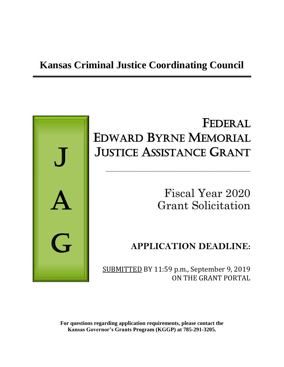## **Kansas Criminal Justice Coordinating Council**



# FEDERAL EDWARD BYRNE MEMORIAL JUSTICE ASSISTANCE GRANT

\_\_\_\_\_\_\_\_\_\_\_\_\_\_\_\_\_\_\_\_\_\_\_\_\_\_\_\_\_\_\_\_\_\_\_\_\_\_\_\_\_\_\_\_\_\_\_\_\_\_\_\_

Fiscal Year 2020 Grant Solicitation

## **APPLICATION DEADLINE:**

SUBMITTED BY 11:59 p.m., September 9, 2019 ON THE GRANT PORTAL

**For questions regarding application requirements, please contact the Kansas Governor's Grants Program (KGGP) at 785-291-3205.**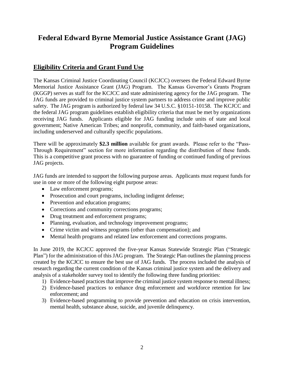## **Federal Edward Byrne Memorial Justice Assistance Grant (JAG) Program Guidelines**

## **Eligibility Criteria and Grant Fund Use**

The Kansas Criminal Justice Coordinating Council (KCJCC) oversees the Federal Edward Byrne Memorial Justice Assistance Grant (JAG) Program. The Kansas Governor's Grants Program (KGGP) serves as staff for the KCJCC and state administering agency for the JAG program. The JAG funds are provided to criminal justice system partners to address crime and improve public safety. The JAG program is authorized by federal law 34 U.S.C. §10151-10158. The KCJCC and the federal JAG program guidelines establish eligibility criteria that must be met by organizations receiving JAG funds. Applicants eligible for JAG funding include units of state and local government; Native American Tribes; and nonprofit, community, and faith-based organizations, including underserved and culturally specific populations.

There will be approximately **\$2.3 million** available for grant awards. Please refer to the "Pass-Through Requirement" section for more information regarding the distribution of these funds. This is a competitive grant process with no guarantee of funding or continued funding of previous JAG projects.

JAG funds are intended to support the following purpose areas. Applicants must request funds for use in one or more of the following eight purpose areas:

- Law enforcement programs;
- Prosecution and court programs, including indigent defense;
- Prevention and education programs;
- Corrections and community corrections programs;
- Drug treatment and enforcement programs;
- Planning, evaluation, and technology improvement programs;
- Crime victim and witness programs (other than compensation); and
- Mental health programs and related law enforcement and corrections programs.

In June 2019, the KCJCC approved the five-year Kansas Statewide Strategic Plan ("Strategic Plan") for the administration of this JAG program. The Strategic Plan outlines the planning process created by the KCJCC to ensure the best use of JAG funds. The process included the analysis of research regarding the current condition of the Kansas criminal justice system and the delivery and analysis of a stakeholder survey tool to identify the following three funding priorities:

- 1) Evidence-based practices that improve the criminal justice system response to mental illness;
- 2) Evidence-based practices to enhance drug enforcement and workforce retention for law enforcement; and
- 3) Evidence-based programming to provide prevention and education on crisis intervention, mental health, substance abuse, suicide, and juvenile delinquency.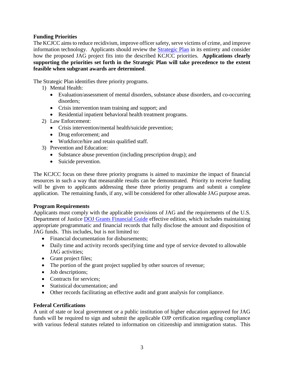#### **Funding Priorities**

The KCJCC aims to reduce recidivism, improve officer safety, serve victims of crime, and improve information technology. Applicants should review the [Strategic Plan](http://www.grants.ks.gov/opportunities/edward-j-byrne-memorial-justice-assistance-grant-(jag)) in its entirety and consider how the proposed JAG project fits into the described KCJCC priorities. **Applications clearly supporting the priorities set forth in the Strategic Plan will take precedence to the extent feasible when subgrant awards are determined**.

The Strategic Plan identifies three priority programs.

- 1) Mental Health:
	- Evaluation/assessment of mental disorders, substance abuse disorders, and co-occurring disorders;
	- Crisis intervention team training and support; and
	- Residential inpatient behavioral health treatment programs.
- 2) Law Enforcement:
	- Crisis intervention/mental health/suicide prevention;
	- Drug enforcement; and
	- Workforce/hire and retain qualified staff.
- 3) Prevention and Education:
	- Substance abuse prevention (including prescription drugs); and
	- Suicide prevention.

The KCJCC focus on these three priority programs is aimed to maximize the impact of financial resources in such a way that measurable results can be demonstrated. Priority to receive funding will be given to applicants addressing these three priority programs and submit a complete application. The remaining funds, if any, will be considered for other allowable JAG purpose areas.

#### **Program Requirements**

Applicants must comply with the applicable provisions of JAG and the requirements of the U.S. Department of Justice [DOJ Grants Financial Guide](http://ojp.gov/financialguide/DOJ/index.htm) effective edition, which includes maintaining appropriate programmatic and financial records that fully disclose the amount and disposition of JAG funds. This includes, but is not limited to:

- Financial documentation for disbursements;
- Daily time and activity records specifying time and type of service devoted to allowable JAG activities;
- Grant project files;
- The portion of the grant project supplied by other sources of revenue;
- Job descriptions;
- Contracts for services:
- Statistical documentation; and
- Other records facilitating an effective audit and grant analysis for compliance.

#### **Federal Certifications**

A unit of state or local government or a public institution of higher education approved for JAG funds will be required to sign and submit the applicable OJP certification regarding compliance with various federal statutes related to information on citizenship and immigration status. This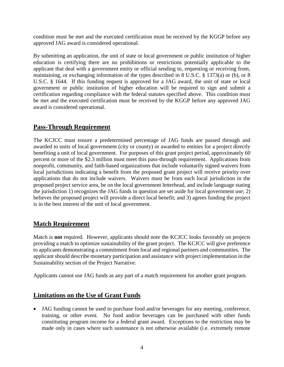condition must be met and the executed certification must be received by the KGGP before any approved JAG award is considered operational.

By submitting an application, the unit of state or local government or public institution of higher education is certifying there are no prohibitions or restrictions potentially applicable to the applicant that deal with a government entity or official sending to, requesting or receiving from, maintaining, or exchanging information of the types described in 8 U.S.C. § 1373(a) or (b), or 8 U.S.C. § 1644. If this funding request is approved for a JAG award, the unit of state or local government or public institution of higher education will be required to sign and submit a certification regarding compliance with the federal statutes specified above. This condition must be met and the executed certification must be received by the KGGP before any approved JAG award is considered operational.

## **Pass-Through Requirement**

The KCJCC must ensure a predetermined percentage of JAG funds are passed through and awarded to units of local government (city or county) or awarded to entities for a project directly benefiting a unit of local government. For purposes of this grant project period, approximately 60 percent or more of the \$2.3 million must meet this pass-through requirement. Applications from nonprofit, community, and faith-based organizations that include voluntarily signed waivers from local jurisdictions indicating a benefit from the proposed grant project will receive priority over applications that do not include waivers. Waivers must be from each local jurisdiction in the proposed project service area, be on the local government letterhead, and include language stating the jurisdiction 1) recognizes the JAG funds in question are set aside for local government use; 2) believes the proposed project will provide a direct local benefit; and 3) agrees funding the project is in the best interest of the unit of local government.

## **Match Requirement**

Match is **not** required. However, applicants should note the KCJCC looks favorably on projects providing a match to optimize sustainability of the grant project. The KCJCC will give preference to applicants demonstrating a commitment from local and regional partners and communities. The applicant should describe monetary participation and assistance with project implementation in the Sustainability section of the Project Narrative.

Applicants cannot use JAG funds as any part of a match requirement for another grant program.

## **Limitations on the Use of Grant Funds**

• JAG funding cannot be used to purchase food and/or beverages for any meeting, conference, training, or other event. No food and/or beverages can be purchased with other funds constituting program income for a federal grant award. Exceptions to the restriction may be made only in cases where such sustenance is not otherwise available (i.e. extremely remote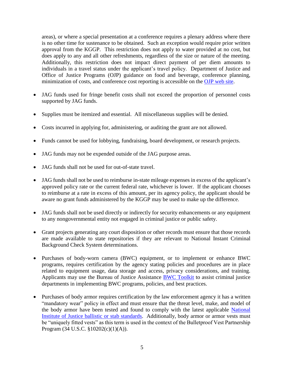areas), or where a special presentation at a conference requires a plenary address where there is no other time for sustenance to be obtained. Such an exception would require prior written approval from the KGGP. This restriction does not apply to water provided at no cost, but does apply to any and all other refreshments, regardless of the size or nature of the meeting. Additionally, this restriction does not impact direct payment of per diem amounts to individuals in a travel status under the applicant's travel policy. Department of Justice and Office of Justice Programs (OJP) guidance on food and beverage, conference planning, minimization of costs, and conference cost reporting is accessible on the [OJP web site.](http://ojp.gov/financialguide/DOJ/index.htm)

- JAG funds used for fringe benefit costs shall not exceed the proportion of personnel costs supported by JAG funds.
- Supplies must be itemized and essential. All miscellaneous supplies will be denied.
- Costs incurred in applying for, administering, or auditing the grant are not allowed.
- Funds cannot be used for lobbying, fundraising, board development, or research projects.
- JAG funds may not be expended outside of the JAG purpose areas.
- JAG funds shall not be used for out-of-state travel.
- JAG funds shall not be used to reimburse in-state mileage expenses in excess of the applicant's approved policy rate or the current federal rate, whichever is lower. If the applicant chooses to reimburse at a rate in excess of this amount, per its agency policy, the applicant should be aware no grant funds administered by the KGGP may be used to make up the difference.
- JAG funds shall not be used directly or indirectly for security enhancements or any equipment to any nongovernmental entity not engaged in criminal justice or public safety.
- Grant projects generating any court disposition or other records must ensure that those records are made available to state repositories if they are relevant to National Instant Criminal Background Check System determinations.
- Purchases of body-worn camera (BWC) equipment, or to implement or enhance BWC programs, requires certification by the agency stating policies and procedures are in place related to equipment usage, data storage and access, privacy considerations, and training. Applicants may use the Bureau of Justice Assistance [BWC Toolkit](https://www.bja.gov/bwc) to assist criminal justice departments in implementing BWC programs, policies, and best practices.
- Purchases of body armor requires certification by the law enforcement agency it has a written "mandatory wear" policy in effect and must ensure that the threat level, make, and model of the body armor have been tested and found to comply with the latest applicable [National](https://www.nij.gov/topics/technology/body-armor/Pages/standards.aspx)  [Institute of Justice ballistic or stab standards.](https://www.nij.gov/topics/technology/body-armor/Pages/standards.aspx) Additionally, body armor or armor vests must be "uniquely fitted vests" as this term is used in the context of the Bulletproof Vest Partnership Program (34 U.S.C. §10202(c)(1)(A)).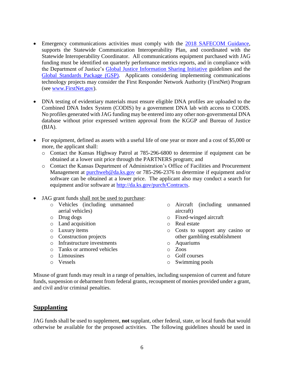- Emergency communications activities must comply with the [2018 SAFECOM Guidance,](https://www.dhs.gov/sites/default/files/publications/FY2018_SAFECOM_Guidance_FINAL_508C_060518.pdf) supports the Statewide Communication Interoperability Plan, and coordinated with the Statewide Interoperability Coordinator. All communications equipment purchased with JAG funding must be identified on quarterly performance metrics reports, and in compliance with the Department of Justice's [Global Justice Information Sharing Initiative](https://it.ojp.gov/global) guidelines and the [Global Standards Package \(GSP\).](https://www.it.ojp.gov/gsp_grantcondition) Applicants considering implementing communications technology projects may consider the First Responder Network Authority (FirstNet) Program (see [www.FirstNet.gov\)](http://www.firstnet.gov/).
- DNA testing of evidentiary materials must ensure eligible DNA profiles are uploaded to the Combined DNA Index System (CODIS) by a government DNA lab with access to CODIS. No profiles generated with JAG funding may be entered into any other non-governmental DNA database without prior expressed written approval from the KGGP and Bureau of Justice (BJA).
- For equipment, defined as assets with a useful life of one year or more and a cost of \$5,000 or more, the applicant shall:
	- o Contact the Kansas Highway Patrol at 785-296-6800 to determine if equipment can be obtained at a lower unit price through the PARTNERS program; and
	- o Contact the Kansas Department of Administration's Office of Facilities and Procurement Management at [purchweb@da.ks.gov](mailto:purchweb@da.ks.gov) or 785-296-2376 to determine if equipment and/or software can be obtained at a lower price. The applicant also may conduct a search for equipment and/or software at [http://da.ks.gov/purch/Contracts.](http://da.ks.gov/purch/Contracts)
- JAG grant funds shall not be used to purchase:
	- o Vehicles (including unmanned aerial vehicles)
	- o Drug dogs
	- o Land acquisition
	- o Luxury items
	- o Construction projects
	- o Infrastructure investments
	- o Tanks or armored vehicles
	- o Limousines
	- o Vessels
- o Aircraft (including unmanned aircraft)
- o Fixed-winged aircraft
- o Real estate
- o Costs to support any casino or other gambling establishment
- o Aquariums
- o Zoos
- o Golf courses
- o Swimming pools

Misuse of grant funds may result in a range of penalties, including suspension of current and future funds, suspension or debarment from federal grants, recoupment of monies provided under a grant, and civil and/or criminal penalties.

## **Supplanting**

JAG funds shall be used to supplement, **not** supplant, other federal, state, or local funds that would otherwise be available for the proposed activities. The following guidelines should be used in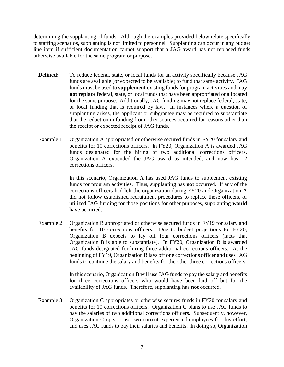determining the supplanting of funds. Although the examples provided below relate specifically to staffing scenarios, supplanting is not limited to personnel. Supplanting can occur in any budget line item if sufficient documentation cannot support that a JAG award has not replaced funds otherwise available for the same program or purpose.

- **Defined:** To reduce federal, state, or local funds for an activity specifically because JAG funds are available (or expected to be available) to fund that same activity. JAG funds must be used to **supplement** existing funds for program activities and may **not replace** federal, state, or local funds that have been appropriated or allocated for the same purpose. Additionally, JAG funding may not replace federal, state, or local funding that is required by law. In instances where a question of supplanting arises, the applicant or subgrantee may be required to substantiate that the reduction in funding from other sources occurred for reasons other than the receipt or expected receipt of JAG funds.
- Example 1 Organization A appropriated or otherwise secured funds in FY20 for salary and benefits for 10 corrections officers. In FY20, Organization A is awarded JAG funds designated for the hiring of two additional corrections officers. Organization A expended the JAG award as intended, and now has 12 corrections officers.

In this scenario, Organization A has used JAG funds to supplement existing funds for program activities. Thus, supplanting has **not** occurred. If any of the corrections officers had left the organization during FY20 and Organization A did not follow established recruitment procedures to replace these officers, or utilized JAG funding for those positions for other purposes, supplanting **would** have occurred.

Example 2 Organization B appropriated or otherwise secured funds in FY19 for salary and benefits for 10 corrections officers. Due to budget projections for FY20, Organization B expects to lay off four corrections officers (facts that Organization B is able to substantiate). In FY20, Organization B is awarded JAG funds designated for hiring three additional corrections officers. At the beginning of FY19, Organization B lays off one corrections officer and uses JAG funds to continue the salary and benefits for the other three corrections officers.

> In this scenario, Organization B will use JAG funds to pay the salary and benefits for three corrections officers who would have been laid off but for the availability of JAG funds. Therefore, supplanting has **not** occurred.

Example 3 Organization C appropriates or otherwise secures funds in FY20 for salary and benefits for 10 corrections officers. Organization C plans to use JAG funds to pay the salaries of two additional corrections officers. Subsequently, however, Organization C opts to use two current experienced employees for this effort, and uses JAG funds to pay their salaries and benefits. In doing so, Organization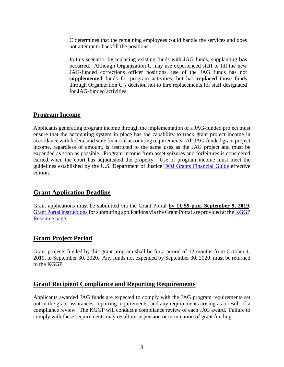C determines that the remaining employees could handle the services and does not attempt to backfill the positions.

In this scenario, by replacing existing funds with JAG funds, supplanting **has** occurred. Although Organization C may use experienced staff to fill the new JAG-funded corrections officer positions, use of the JAG funds has not **supplemented** funds for program activities, but has **replaced** those funds through Organization C's decision not to hire replacements for staff designated for JAG-funded activities.

## **Program Income**

Applicants generating program income through the implementation of a JAG-funded project must ensure that the accounting system in place has the capability to track grant project income in accordance with federal and state financial accounting requirements. All JAG**-**funded grant project income, regardless of amount, is restricted to the same uses as the JAG project and must be expended as soon as possible. Program income from asset seizures and forfeitures is considered earned when the court has adjudicated the property. Use of program income must meet the guidelines established by the U.S. Department of Justice [DOJ Grants Financial Guide](http://ojp.gov/financialguide/DOJ/index.htm) effective edition.

## **Grant Application Deadline**

Grant applications must be submitted via the Grant Portal **by 11:59 p.m. September 9, 2019**. [Grant Portal instructions](http://grants.ks.gov/docs/default-source/how-to-guides/application-portal-instructions.pdf?sfvrsn=4) for submitting applications via the Grant Portal are provided at the [KGGP](http://www.grants.ks.gov/resources/getting-started)  [Resource page.](http://www.grants.ks.gov/resources/getting-started)

## **Grant Project Period**

Grant projects funded by this grant program shall be for a period of 12 months from October 1, 2019, to September 30, 2020. Any funds not expended by September 30, 2020, must be returned to the KGGP.

## **Grant Recipient Compliance and Reporting Requirements**

Applicants awarded JAG funds are expected to comply with the JAG program requirements set out in the grant assurances, reporting requirements, and any requirements arising as a result of a compliance review. The KGGP will conduct a compliance review of each JAG award. Failure to comply with these requirements may result in suspension or termination of grant funding.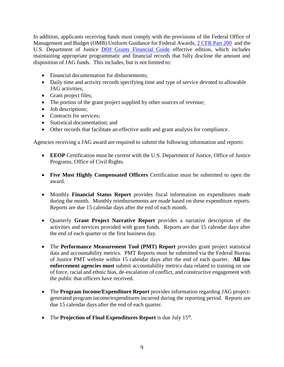In addition, applicants receiving funds must comply with the provisions of the Federal Office of Management and Budget (OMB) Uniform Guidance for Federal Awards, [2 CFR Part 200](http://www.ecfr.gov/cgi-bin/text-idx?SID=2c6d1c9f8de1f9619110b4599d84a234&mc=true&node=pt2.1.200&rgn=div5#_top) and the U.S. Department of Justice [DOJ Grants Financial Guide](http://ojp.gov/financialguide/DOJ/index.htm) effective edition, which includes maintaining appropriate programmatic and financial records that fully disclose the amount and disposition of JAG funds. This includes, but is not limited to:

- Financial documentation for disbursements;
- Daily time and activity records specifying time and type of service devoted to allowable JAG activities;
- Grant project files;
- The portion of the grant project supplied by other sources of revenue;
- Job descriptions;
- Contracts for services;
- Statistical documentation; and
- Other records that facilitate an effective audit and grant analysis for compliance.

Agencies receiving a JAG award are required to submit the following information and reports:

- **EEOP** Certification must be current with the U.S. Department of Justice, Office of Justice Programs, Office of Civil Rights.
- **Five Most Highly Compensated Officers** Certification must be submitted to open the award.
- Monthly **Financial Status Report** provides fiscal information on expenditures made during the month. Monthly reimbursements are made based on these expenditure reports. Reports are due 15 calendar days after the end of each month.
- Quarterly **Grant Project Narrative Report** provides a narrative description of the activities and services provided with grant funds. Reports are due 15 calendar days after the end of each quarter or the first business day.
- The **Performance Measurement Tool (PMT) Report** provides grant project statistical data and accountability metrics. PMT Reports must be submitted via the Federal Bureau of Justice PMT website within 15 calendar days after the end of each quarter. **All law enforcement agencies must** submit accountability metrics data related to training on use of force, racial and ethnic bias, de-escalation of conflict, and constructive engagement with the public that officers have received.
- The **Program Income/Expenditure Report** provides information regarding JAG projectgenerated program income/expenditures incurred during the reporting period. Reports are due 15 calendar days after the end of each quarter.
- The **Projection of Final Expenditures Report** is due July 15<sup>th</sup>.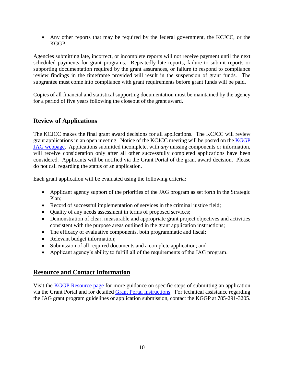• Any other reports that may be required by the federal government, the KCJCC, or the KGGP.

Agencies submitting late, incorrect, or incomplete reports will not receive payment until the next scheduled payments for grant programs. Repeatedly late reports, failure to submit reports or supporting documentation required by the grant assurances, or failure to respond to compliance review findings in the timeframe provided will result in the suspension of grant funds. The subgrantee must come into compliance with grant requirements before grant funds will be paid.

Copies of all financial and statistical supporting documentation must be maintained by the agency for a period of five years following the closeout of the grant award.

## **Review of Applications**

The KCJCC makes the final grant award decisions for all applications. The KCJCC will review grant applications in an open meeting. Notice of the KCJCC meeting will be posted on the [KGGP](http://www.grants.ks.gov/opportunities/edward-j-byrne-memorial-justice-assistance-grant-(jag))  [JAG webpage.](http://www.grants.ks.gov/opportunities/edward-j-byrne-memorial-justice-assistance-grant-(jag)) Applications submitted incomplete, with *any* missing components or information, will receive consideration only after all other successfully completed applications have been considered.Applicants will be notified via the Grant Portal of the grant award decision. Please do not call regarding the status of an application.

Each grant application will be evaluated using the following criteria:

- Applicant agency support of the priorities of the JAG program as set forth in the Strategic Plan;
- Record of successful implementation of services in the criminal justice field;
- Ouality of any needs assessment in terms of proposed services;
- Demonstration of clear, measurable and appropriate grant project objectives and activities consistent with the purpose areas outlined in the grant application instructions;
- The efficacy of evaluative components, both programmatic and fiscal;
- Relevant budget information;
- Submission of all required documents and a complete application; and
- Applicant agency's ability to fulfill all of the requirements of the JAG program.

## **Resource and Contact Information**

Visit the [KGGP Resource page](http://www.grants.ks.gov/resources/getting-started) for more guidance on specific steps of submitting an application via the Grant Portal and for detailed [Grant Portal instructions.](http://grants.ks.gov/docs/default-source/how-to-guides/application-portal-instructions.pdf?sfvrsn=4) For technical assistance regarding the JAG grant program guidelines or application submission, contact the KGGP at 785-291-3205.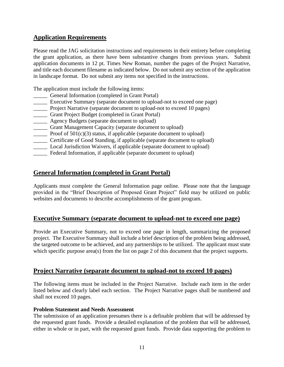## **Application Requirements**

Please read the JAG solicitation instructions and requirements in their entirety before completing the grant application, as there have been substantive changes from previous years. Submit application documents in 12 pt. Times New Roman, number the pages of the Project Narrative, and title each document filename as indicated below. Do not submit any section of the application in landscape format. Do not submit any items not specified in the instructions.

The application must include the following items:

- \_\_\_\_\_ General Information (completed in Grant Portal)
- \_\_\_\_\_ Executive Summary (separate document to upload-not to exceed one page)
- \_\_\_\_\_ Project Narrative (separate document to upload-not to exceed 10 pages)
- \_\_\_\_\_ Grant Project Budget (completed in Grant Portal)
- **EXECUTE:** Agency Budgets (separate document to upload)
- \_\_\_\_\_ Grant Management Capacity (separate document to upload)
- **EXECUTE:** Proof of  $501(c)(3)$  status, if applicable (separate document to upload)
- \_\_\_\_\_ Certificate of Good Standing, if applicable (separate document to upload)
- \_\_\_\_\_ Local Jurisdiction Waivers, if applicable (separate document to upload)
- \_\_\_\_\_ Federal Information, if applicable (separate document to upload)

## **General Information (completed in Grant Portal)**

Applicants must complete the General Information page online. Please note that the language provided in the "Brief Description of Proposed Grant Project" field may be utilized on public websites and documents to describe accomplishments of the grant program.

## **Executive Summary (separate document to upload-not to exceed one page)**

Provide an Executive Summary, not to exceed one page in length, summarizing the proposed project. The Executive Summary shall include a brief description of the problem being addressed, the targeted outcome to be achieved, and any partnerships to be utilized. The applicant must state which specific purpose area(s) from the list on page 2 of this document that the project supports.

## **Project Narrative (separate document to upload-not to exceed 10 pages)**

The following items must be included in the Project Narrative. Include each item in the order listed below and clearly label each section. The Project Narrative pages shall be numbered and shall not exceed 10 pages.

#### **Problem Statement and Needs Assessment**

The submission of an application presumes there is a definable problem that will be addressed by the requested grant funds. Provide a detailed explanation of the problem that will be addressed, either in whole or in part, with the requested grant funds. Provide data supporting the problem to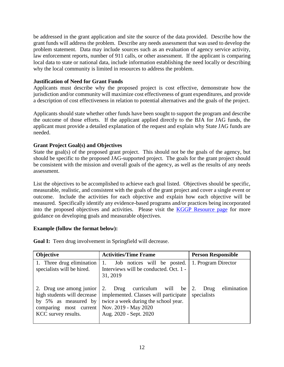be addressed in the grant application and site the source of the data provided. Describe how the grant funds will address the problem. Describe any needs assessment that was used to develop the problem statement. Data may include sources such as an evaluation of agency service activity, law enforcement reports, number of 911 calls, or other assessment. If the applicant is comparing local data to state or national data, include information establishing the need locally or describing why the local community is limited in resources to address the problem.

#### **Justification of Need for Grant Funds**

Applicants must describe why the proposed project is cost effective, demonstrate how the jurisdiction and/or community will maximize cost effectiveness of grant expenditures, and provide a description of cost effectiveness in relation to potential alternatives and the goals of the project.

Applicants should state whether other funds have been sought to support the program and describe the outcome of those efforts. If the applicant applied directly to the BJA for JAG funds, the applicant must provide a detailed explanation of the request and explain why State JAG funds are needed.

#### **Grant Project Goal(s) and Objectives**

State the goal(s) of the proposed grant project. This should not be the goals of the agency, but should be specific to the proposed JAG-supported project. The goals for the grant project should be consistent with the mission and overall goals of the agency, as well as the results of any needs assessment.

List the objectives to be accomplished to achieve each goal listed. Objectives should be specific, measurable, realistic, and consistent with the goals of the grant project and cover a single event or outcome. Include the activities for each objective and explain how each objective will be measured. Specifically identify any evidence-based programs and/or practices being incorporated into the proposed objectives and activities. Please visit the [KGGP Resource page](http://www.grants.ks.gov/resources/getting-started) for more guidance on developing goals and measurable objectives.

#### **Example (follow the format below):**

| <b>Objective</b>                                                                                                                 | <b>Activities/Time Frame</b>                                                                                                                                           | <b>Person Responsible</b>          |  |  |
|----------------------------------------------------------------------------------------------------------------------------------|------------------------------------------------------------------------------------------------------------------------------------------------------------------------|------------------------------------|--|--|
| 1. Three drug elimination<br>specialists will be hired.                                                                          | Job notices will be posted.<br>1.<br>Interviews will be conducted. Oct. 1 -<br>31, 2019                                                                                | 1. Program Director                |  |  |
| 2. Drug use among junior<br>high students will decrease<br>by 5% as measured by<br>comparing most current<br>KCC survey results. | curriculum will<br>2.<br>Drug<br>be<br>implemented. Classes will participate<br>twice a week during the school year.<br>Nov. 2019 - May 2020<br>Aug. 2020 - Sept. 2020 | elimination<br>Drug<br>specialists |  |  |

**Goal I:** Teen drug involvement in Springfield will decrease.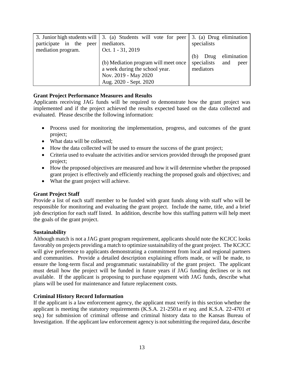|                            | 3. Junior high students will   3. (a) Students will vote for peer | 3. (a) Drug elimination    |
|----------------------------|-------------------------------------------------------------------|----------------------------|
| participate in the<br>peer | mediators.                                                        | specialists                |
| mediation program.         | Oct. 1 - 31, 2019                                                 |                            |
|                            |                                                                   | elimination<br>Drug<br>(b) |
|                            | (b) Mediation program will meet once                              | specialists<br>and<br>peer |
|                            | a week during the school year.                                    | mediators                  |
|                            | Nov. 2019 - May 2020                                              |                            |
|                            | Aug. 2020 - Sept. 2020                                            |                            |

#### **Grant Project Performance Measures and Results**

Applicants receiving JAG funds will be required to demonstrate how the grant project was implemented and if the project achieved the results expected based on the data collected and evaluated. Please describe the following information:

- Process used for monitoring the implementation, progress, and outcomes of the grant project;
- What data will be collected;
- How the data collected will be used to ensure the success of the grant project;
- Criteria used to evaluate the activities and/or services provided through the proposed grant project;
- How the proposed objectives are measured and how it will determine whether the proposed grant project is effectively and efficiently reaching the proposed goals and objectives; and
- What the grant project will achieve.

#### **Grant Project Staff**

Provide a list of each staff member to be funded with grant funds along with staff who will be responsible for monitoring and evaluating the grant project. Include the name, title, and a brief job description for each staff listed. In addition, describe how this staffing pattern will help meet the goals of the grant project.

#### **Sustainability**

Although match is not a JAG grant program requirement, applicants should note the KCJCC looks favorably on projects providing a match to optimize sustainability of the grant project. The KCJCC will give preference to applicants demonstrating a commitment from local and regional partners and communities. Provide a detailed description explaining efforts made, or will be made, to ensure the long-term fiscal and programmatic sustainability of the grant project. The applicant must detail how the project will be funded in future years if JAG funding declines or is not available. If the applicant is proposing to purchase equipment with JAG funds, describe what plans will be used for maintenance and future replacement costs.

#### **Criminal History Record Information**

If the applicant is a law enforcement agency, the applicant must verify in this section whether the applicant is meeting the statutory requirements (K.S.A. 21-2501a *et seq.* and K.S.A. 22-4701 *et seq.*) for submission of criminal offense and criminal history data to the Kansas Bureau of Investigation. If the applicant law enforcement agency is not submitting the required data, describe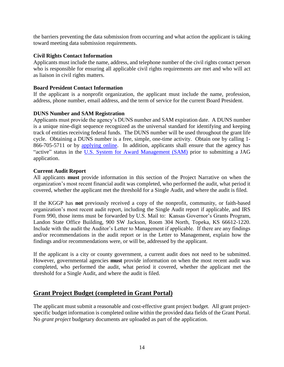the barriers preventing the data submission from occurring and what action the applicant is taking toward meeting data submission requirements.

#### **Civil Rights Contact Information**

Applicants must include the name, address, and telephone number of the civil rights contact person who is responsible for ensuring all applicable civil rights requirements are met and who will act as liaison in civil rights matters.

#### **Board President Contact Information**

If the applicant is a nonprofit organization, the applicant must include the name, profession, address, phone number, email address, and the term of service for the current Board President.

#### **DUNS Number and SAM Registration**

Applicants must provide the agency's DUNS number and SAM expiration date. A DUNS number is a unique nine-digit sequence recognized as the universal standard for identifying and keeping track of entities receiving federal funds. The DUNS number will be used throughout the grant life cycle. Obtaining a DUNS number is a free, simple, one-time activity. Obtain one by calling 1- 866-705-5711 or by [applying online.](http://www.dnb.com/us/) In addition, applicants shall ensure that the agency has "active" status in the [U.S. System for Award Management \(SAM\)](http://www.sam.gov/) prior to submitting a JAG application.

#### **Current Audit Report**

All applicants **must** provide information in this section of the Project Narrative on when the organization's most recent financial audit was completed, who performed the audit, what period it covered, whether the applicant met the threshold for a Single Audit, and where the audit is filed.

If the KGGP has **not** previously received a copy of the nonprofit, community, or faith-based organization's most recent audit report, including the Single Audit report if applicable, and IRS Form 990, those items must be forwarded by U.S. Mail to:Kansas Governor's Grants Program, Landon State Office Building, 900 SW Jackson, Room 304 North, Topeka, KS 66612-1220. Include with the audit the Auditor's Letter to Management if applicable. If there are any findings and/or recommendations in the audit report or in the Letter to Management, explain how the findings and/or recommendations were, or will be, addressed by the applicant.

If the applicant is a city or county government, a current audit does not need to be submitted. However, governmental agencies **must** provide information on when the most recent audit was completed, who performed the audit, what period it covered, whether the applicant met the threshold for a Single Audit, and where the audit is filed.

## **Grant Project Budget (completed in Grant Portal)**

The applicant must submit a reasonable and cost-effective grant project budget. All grant projectspecific budget information is completed online within the provided data fields of the Grant Portal. No *grant project* budgetary documents are uploaded as part of the application.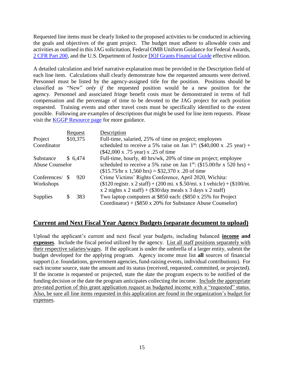Requested line items must be clearly linked to the proposed activities to be conducted in achieving the goals and objectives of the grant project. The budget must adhere to allowable costs and activities as outlined in this JAG solicitation, Federal OMB Uniform Guidance for Federal Awards, [2 CFR Part 200,](http://www.ecfr.gov/cgi-bin/text-idx?SID=2c6d1c9f8de1f9619110b4599d84a234&mc=true&node=pt2.1.200&rgn=div5#_top) and the U.S. Department of Justice [DOJ Grants Financial Guide](http://ojp.gov/financialguide/DOJ/index.htm) effective edition.

A detailed calculation and brief narrative explanation must be provided in the Description field of each line item. Calculations shall clearly demonstrate how the requested amounts were derived. Personnel must be listed by the agency-assigned title for the position. Positions should be classified as "New" *only if* the requested position would be a new position for the agency. Personnel and associated fringe benefit costs must be demonstrated in terms of full compensation and the percentage of time to be devoted to the JAG project for each position requested. Training events and other travel costs must be specifically identified to the extent possible. Following are examples of descriptions that might be used for line item requests. Please visit the [KGGP Resource page](http://www.grants.ks.gov/resources/getting-started) for more guidance.

|                        |          | Request  | Description                                                                              |
|------------------------|----------|----------|------------------------------------------------------------------------------------------|
| Project                |          | \$10,375 | Full-time, salaried, 25% of time on project; employees                                   |
| Coordinator            |          |          | scheduled to receive a 5% raise on Jan 1 <sup>st</sup> : (\$40,000 x .25 year) +         |
|                        |          |          | (\$42,000 x .75 year) x .25 of time                                                      |
| Substance              |          | \$6,474  | Full-time, hourly, 40 hrs/wk, 20% of time on project; employee                           |
| <b>Abuse Counselor</b> |          |          | scheduled to receive a 5% raise on Jan 1 <sup>st</sup> : $(\$15.00/hr \times 520 hrs) +$ |
|                        |          |          | $($15.75/hr \times 1,560 hrs) = $32,370 \times .20 \text{ of time}$                      |
| Conferences/           | <b>S</b> | 920      | Crime Victims' Rights Conference, April 2020, Wichita:                                   |
| Workshops              |          |          | $($120$ registr. x 2 staff) + (200 mi. x \$.50/mi. x 1 vehicle) + (\$100/nt.             |
|                        |          |          | x 2 nights x 2 staff) + $(\$30/day$ meals x 3 days x 2 staff)                            |
| <b>Supplies</b>        | S        | 383      | Two laptop computers at \$850 each: (\$850 x 25% for Project                             |
|                        |          |          | Coordinator) + $(\$850 \times 20\%$ for Substance Abuse Counselor)                       |

## **Current and Next Fiscal Year Agency Budgets (separate document to upload)**

Upload the applicant's current and next fiscal year budgets, including balanced **income and expenses**. Include the fiscal period utilized by the agency. List all staff positions separately with their respective salaries/wages. If the applicant is under the umbrella of a larger entity, submit the budget developed for the applying program. Agency income must list **all** sources of financial support (i.e. foundations, government agencies, fund-raising events, individual contributions). For each income source, state the amount and its status (received, requested, committed, or projected). If the income is requested or projected, state the date the program expects to be notified of the funding decision or the date the program anticipates collecting the income. Include the appropriate pro-rated portion of this grant application request as budgeted income with a "requested" status. Also, be sure all line items requested in this application are found in the organization's budget for expenses.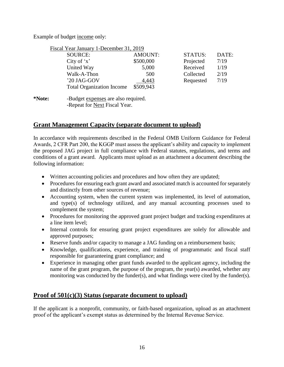Example of budget income only:

| Fiscal Year January 1-December 31, 2019 |                |                |       |
|-----------------------------------------|----------------|----------------|-------|
| SOURCE:                                 | <b>AMOUNT:</b> | <b>STATUS:</b> | DATE: |
| City of $x'$                            | \$500,000      | Projected      | 7/19  |
| United Way                              | 5,000          | Received       | 1/19  |
| Walk-A-Thon                             | 500            | Collected      | 2/19  |
| '20 JAG-GOV                             | 4,443          | Requested      | 7/19  |
| <b>Total Organization Income</b>        | \$509,943      |                |       |
|                                         |                |                |       |

**\*Note:** -Budget expenses are also required. -Repeat for Next Fiscal Year.

## **Grant Management Capacity (separate document to upload)**

In accordance with requirements described in the Federal OMB Uniform Guidance for Federal Awards, 2 CFR Part 200, the KGGP must assess the applicant's ability and capacity to implement the proposed JAG project in full compliance with Federal statutes, regulations, and terms and conditions of a grant award. Applicants must upload as an attachment a document describing the following information:

- Written accounting policies and procedures and how often they are updated;
- Procedures for ensuring each grant award and associated match is accounted for separately and distinctly from other sources of revenue;
- Accounting system, when the current system was implemented, its level of automation, and type(s) of technology utilized, and any manual accounting processes used to complement the system;
- Procedures for monitoring the approved grant project budget and tracking expenditures at a line item level;
- Internal controls for ensuring grant project expenditures are solely for allowable and approved purposes;
- Reserve funds and/or capacity to manage a JAG funding on a reimbursement basis;
- Knowledge, qualifications, experience, and training of programmatic and fiscal staff responsible for guaranteeing grant compliance; and
- Experience in managing other grant funds awarded to the applicant agency, including the name of the grant program, the purpose of the program, the year(s) awarded, whether any monitoring was conducted by the funder(s), and what findings were cited by the funder(s).

## **Proof of 501(c)(3) Status (separate document to upload)**

If the applicant is a nonprofit, community, or faith-based organization, upload as an attachment proof of the applicant's exempt status as determined by the Internal Revenue Service.